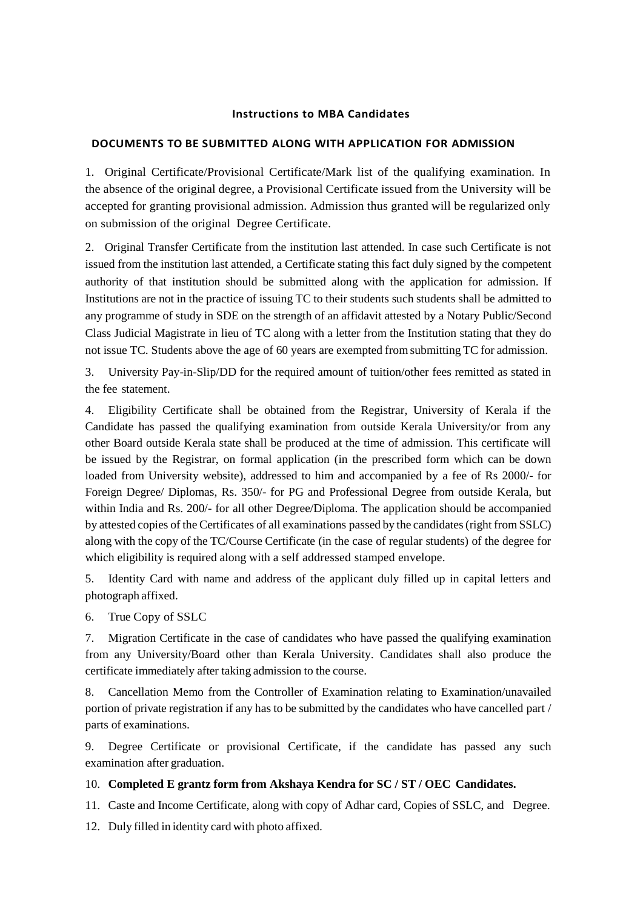### **Instructions to MBA Candidates**

### **DOCUMENTS TO BE SUBMITTED ALONG WITH APPLICATION FOR ADMISSION**

1. Original Certificate/Provisional Certificate/Mark list of the qualifying examination. In the absence of the original degree, a Provisional Certificate issued from the University will be accepted for granting provisional admission. Admission thus granted will be regularized only on submission of the original Degree Certificate.

2. Original Transfer Certificate from the institution last attended. In case such Certificate is not issued from the institution last attended, a Certificate stating this fact duly signed by the competent authority of that institution should be submitted along with the application for admission. If Institutions are not in the practice of issuing TC to their students such students shall be admitted to any programme of study in SDE on the strength of an affidavit attested by a Notary Public/Second Class Judicial Magistrate in lieu of TC along with a letter from the Institution stating that they do not issue TC. Students above the age of 60 years are exempted from submitting TC for admission.

3. University Pay-in-Slip/DD for the required amount of tuition/other fees remitted as stated in the fee statement.

4. Eligibility Certificate shall be obtained from the Registrar, University of Kerala if the Candidate has passed the qualifying examination from outside Kerala University/or from any other Board outside Kerala state shall be produced at the time of admission. This certificate will be issued by the Registrar, on formal application (in the prescribed form which can be down loaded from University website), addressed to him and accompanied by a fee of Rs 2000/- for Foreign Degree/ Diplomas, Rs. 350/- for PG and Professional Degree from outside Kerala, but within India and Rs. 200/- for all other Degree/Diploma. The application should be accompanied by attested copies of the Certificates of all examinations passed by the candidates(right from SSLC) along with the copy of the TC/Course Certificate (in the case of regular students) of the degree for which eligibility is required along with a self addressed stamped envelope.

5. Identity Card with name and address of the applicant duly filled up in capital letters and photograph affixed.

6. True Copy of SSLC

7. Migration Certificate in the case of candidates who have passed the qualifying examination from any University/Board other than Kerala University. Candidates shall also produce the certificate immediately after taking admission to the course.

8. Cancellation Memo from the Controller of Examination relating to Examination/unavailed portion of private registration if any has to be submitted by the candidates who have cancelled part / parts of examinations.

9. Degree Certificate or provisional Certificate, if the candidate has passed any such examination after graduation.

### 10. **Completed E grantz form from Akshaya Kendra for SC / ST / OEC Candidates.**

11. Caste and Income Certificate, along with copy of Adhar card, Copies of SSLC, and Degree.

12. Duly filled in identity card with photo affixed.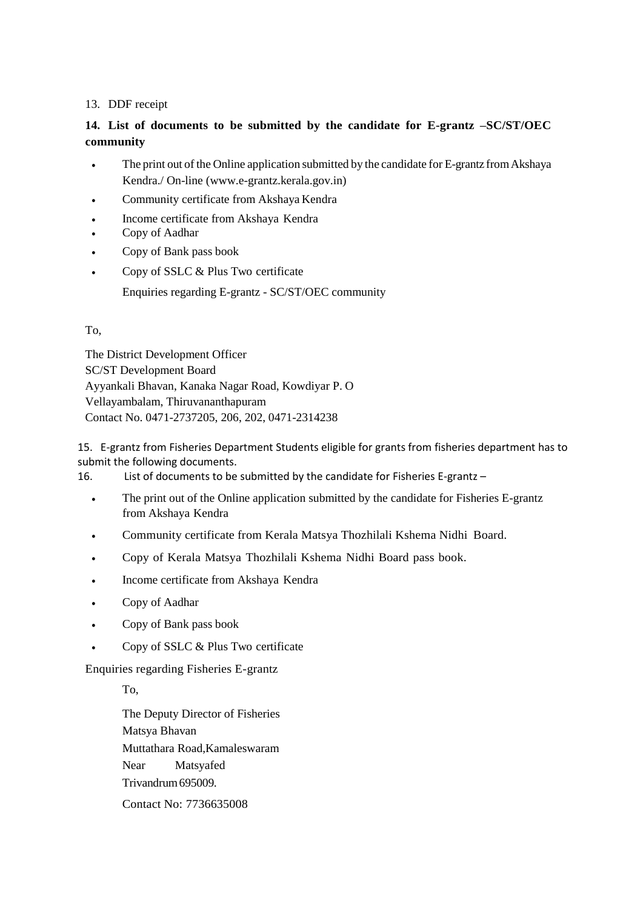## 13. DDF receipt

# **14. List of documents to be submitted by the candidate for E-grantz –SC/ST/OEC community**

- The print out of the Online application submitted by the candidate for E-grantz fromAkshaya Kendra./ On-line (www.e-grantz.kerala.gov.in)
- Community certificate from Akshaya Kendra
- Income certificate from Akshaya Kendra
- Copy of Aadhar
- Copy of Bank pass book
- Copy of SSLC & Plus Two certificate

Enquiries regarding E-grantz - SC/ST/OEC community

### To,

The District Development Officer SC/ST Development Board Ayyankali Bhavan, Kanaka Nagar Road, Kowdiyar P. O Vellayambalam, Thiruvananthapuram Contact No. 0471-2737205, 206, 202, 0471-2314238

15. E-grantz from Fisheries Department Students eligible for grants from fisheries department has to submit the following documents.

16. List of documents to be submitted by the candidate for Fisheries E-grantz –

- The print out of the Online application submitted by the candidate for Fisheries E-grantz from Akshaya Kendra
- Community certificate from Kerala Matsya Thozhilali Kshema Nidhi Board.
- Copy of Kerala Matsya Thozhilali Kshema Nidhi Board pass book.
- Income certificate from Akshaya Kendra
- Copy of Aadhar
- Copy of Bank pass book
- Copy of SSLC & Plus Two certificate

Enquiries regarding Fisheries E-grantz

To,

The Deputy Director of Fisheries Matsya Bhavan Muttathara Road,Kamaleswaram Near Matsyafed Trivandrum695009. Contact No: 7736635008